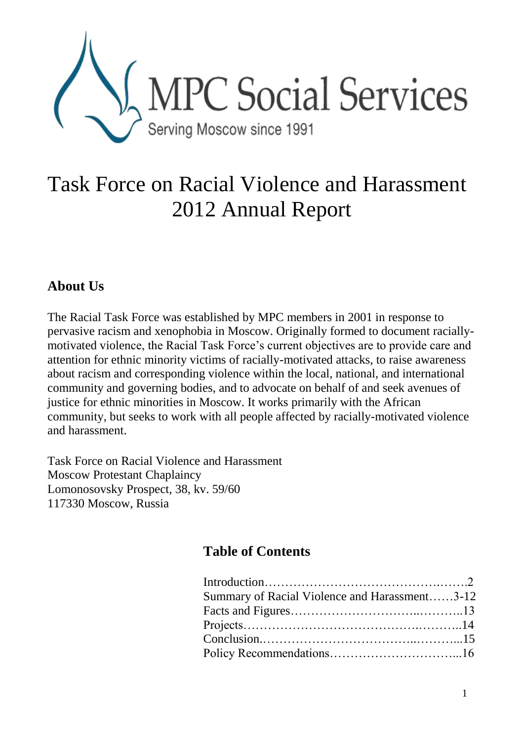

# Task Force on Racial Violence and Harassment 2012 Annual Report

# **About Us**

The Racial Task Force was established by MPC members in 2001 in response to pervasive racism and xenophobia in Moscow. Originally formed to document raciallymotivated violence, the Racial Task Force's current objectives are to provide care and attention for ethnic minority victims of racially-motivated attacks, to raise awareness about racism and corresponding violence within the local, national, and international community and governing bodies, and to advocate on behalf of and seek avenues of justice for ethnic minorities in Moscow. It works primarily with the African community, but seeks to work with all people affected by racially-motivated violence and harassment.

Task Force on Racial Violence and Harassment Moscow Protestant Chaplaincy Lomonosovsky Prospect, 38, kv. 59/60 117330 Moscow, Russia

# **Table of Contents**

| Summary of Racial Violence and Harassment3-12 |  |
|-----------------------------------------------|--|
|                                               |  |
|                                               |  |
|                                               |  |
|                                               |  |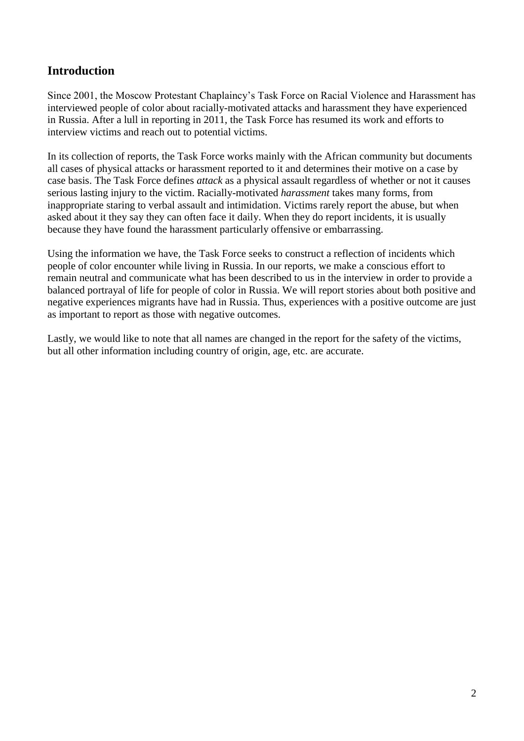## **Introduction**

Since 2001, the Moscow Protestant Chaplaincy's Task Force on Racial Violence and Harassment has interviewed people of color about racially-motivated attacks and harassment they have experienced in Russia. After a lull in reporting in 2011, the Task Force has resumed its work and efforts to interview victims and reach out to potential victims.

In its collection of reports, the Task Force works mainly with the African community but documents all cases of physical attacks or harassment reported to it and determines their motive on a case by case basis. The Task Force defines *attack* as a physical assault regardless of whether or not it causes serious lasting injury to the victim. Racially-motivated *harassment* takes many forms, from inappropriate staring to verbal assault and intimidation. Victims rarely report the abuse, but when asked about it they say they can often face it daily. When they do report incidents, it is usually because they have found the harassment particularly offensive or embarrassing.

Using the information we have, the Task Force seeks to construct a reflection of incidents which people of color encounter while living in Russia. In our reports, we make a conscious effort to remain neutral and communicate what has been described to us in the interview in order to provide a balanced portrayal of life for people of color in Russia. We will report stories about both positive and negative experiences migrants have had in Russia. Thus, experiences with a positive outcome are just as important to report as those with negative outcomes.

Lastly, we would like to note that all names are changed in the report for the safety of the victims, but all other information including country of origin, age, etc. are accurate.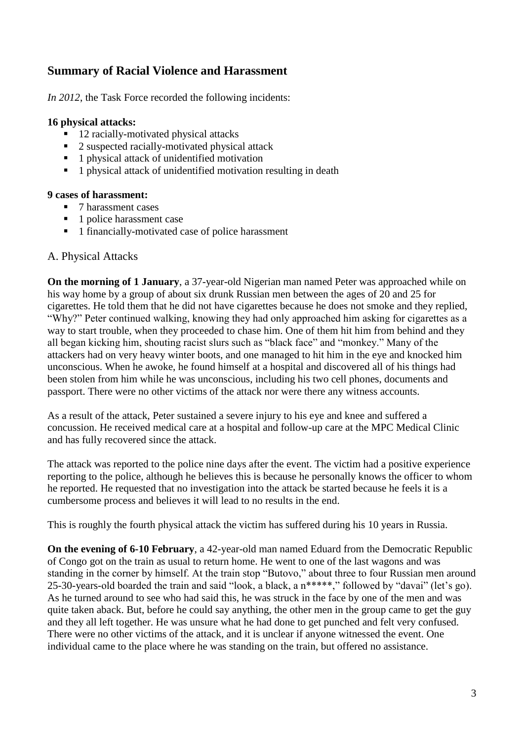### **Summary of Racial Violence and Harassment**

*In 2012*, the Task Force recorded the following incidents:

#### **16 physical attacks:**

- 12 racially-motivated physical attacks
- 2 suspected racially-motivated physical attack
- 1 physical attack of unidentified motivation
- <sup>1</sup> 1 physical attack of unidentified motivation resulting in death

#### **9 cases of harassment:**

- 7 harassment cases
- $\blacksquare$  1 police harassment case
- 1 financially-motivated case of police harassment

#### A. Physical Attacks

**On the morning of 1 January**, a 37-year-old Nigerian man named Peter was approached while on his way home by a group of about six drunk Russian men between the ages of 20 and 25 for cigarettes. He told them that he did not have cigarettes because he does not smoke and they replied, "Why?" Peter continued walking, knowing they had only approached him asking for cigarettes as a way to start trouble, when they proceeded to chase him. One of them hit him from behind and they all began kicking him, shouting racist slurs such as "black face" and "monkey." Many of the attackers had on very heavy winter boots, and one managed to hit him in the eye and knocked him unconscious. When he awoke, he found himself at a hospital and discovered all of his things had been stolen from him while he was unconscious, including his two cell phones, documents and passport. There were no other victims of the attack nor were there any witness accounts.

As a result of the attack, Peter sustained a severe injury to his eye and knee and suffered a concussion. He received medical care at a hospital and follow-up care at the MPC Medical Clinic and has fully recovered since the attack.

The attack was reported to the police nine days after the event. The victim had a positive experience reporting to the police, although he believes this is because he personally knows the officer to whom he reported. He requested that no investigation into the attack be started because he feels it is a cumbersome process and believes it will lead to no results in the end.

This is roughly the fourth physical attack the victim has suffered during his 10 years in Russia.

**On the evening of 6-10 February**, a 42-year-old man named Eduard from the Democratic Republic of Congo got on the train as usual to return home. He went to one of the last wagons and was standing in the corner by himself. At the train stop "Butovo," about three to four Russian men around 25-30-years-old boarded the train and said "look, a black, a n\*\*\*\*\*," followed by "davai" (let's go). As he turned around to see who had said this, he was struck in the face by one of the men and was quite taken aback. But, before he could say anything, the other men in the group came to get the guy and they all left together. He was unsure what he had done to get punched and felt very confused. There were no other victims of the attack, and it is unclear if anyone witnessed the event. One individual came to the place where he was standing on the train, but offered no assistance.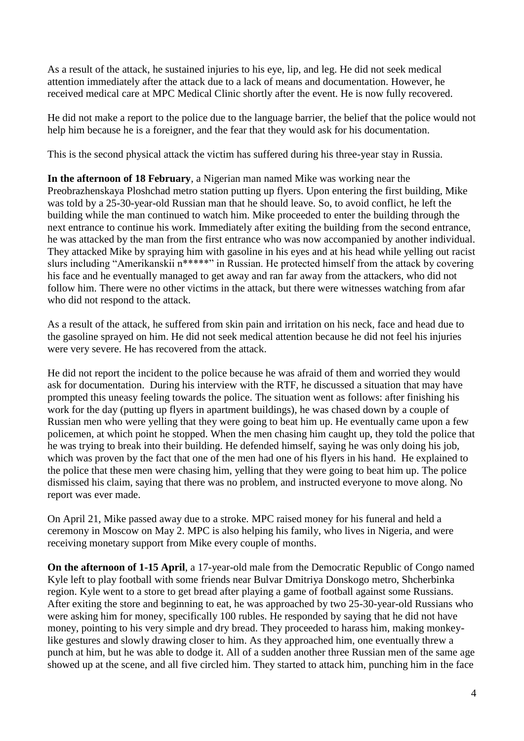As a result of the attack, he sustained injuries to his eye, lip, and leg. He did not seek medical attention immediately after the attack due to a lack of means and documentation. However, he received medical care at MPC Medical Clinic shortly after the event. He is now fully recovered.

He did not make a report to the police due to the language barrier, the belief that the police would not help him because he is a foreigner, and the fear that they would ask for his documentation.

This is the second physical attack the victim has suffered during his three-year stay in Russia.

**In the afternoon of 18 February**, a Nigerian man named Mike was working near the Preobrazhenskaya Ploshchad metro station putting up flyers. Upon entering the first building, Mike was told by a 25-30-year-old Russian man that he should leave. So, to avoid conflict, he left the building while the man continued to watch him. Mike proceeded to enter the building through the next entrance to continue his work. Immediately after exiting the building from the second entrance, he was attacked by the man from the first entrance who was now accompanied by another individual. They attacked Mike by spraying him with gasoline in his eyes and at his head while yelling out racist slurs including "Amerikanskii n\*\*\*\*\*" in Russian. He protected himself from the attack by covering his face and he eventually managed to get away and ran far away from the attackers, who did not follow him. There were no other victims in the attack, but there were witnesses watching from afar who did not respond to the attack.

As a result of the attack, he suffered from skin pain and irritation on his neck, face and head due to the gasoline sprayed on him. He did not seek medical attention because he did not feel his injuries were very severe. He has recovered from the attack.

He did not report the incident to the police because he was afraid of them and worried they would ask for documentation. During his interview with the RTF, he discussed a situation that may have prompted this uneasy feeling towards the police. The situation went as follows: after finishing his work for the day (putting up flyers in apartment buildings), he was chased down by a couple of Russian men who were yelling that they were going to beat him up. He eventually came upon a few policemen, at which point he stopped. When the men chasing him caught up, they told the police that he was trying to break into their building. He defended himself, saying he was only doing his job, which was proven by the fact that one of the men had one of his flyers in his hand. He explained to the police that these men were chasing him, yelling that they were going to beat him up. The police dismissed his claim, saying that there was no problem, and instructed everyone to move along. No report was ever made.

On April 21, Mike passed away due to a stroke. MPC raised money for his funeral and held a ceremony in Moscow on May 2. MPC is also helping his family, who lives in Nigeria, and were receiving monetary support from Mike every couple of months.

**On the afternoon of 1-15 April**, a 17-year-old male from the Democratic Republic of Congo named Kyle left to play football with some friends near Bulvar Dmitriya Donskogo metro, Shcherbinka region. Kyle went to a store to get bread after playing a game of football against some Russians. After exiting the store and beginning to eat, he was approached by two 25-30-year-old Russians who were asking him for money, specifically 100 rubles. He responded by saying that he did not have money, pointing to his very simple and dry bread. They proceeded to harass him, making monkeylike gestures and slowly drawing closer to him. As they approached him, one eventually threw a punch at him, but he was able to dodge it. All of a sudden another three Russian men of the same age showed up at the scene, and all five circled him. They started to attack him, punching him in the face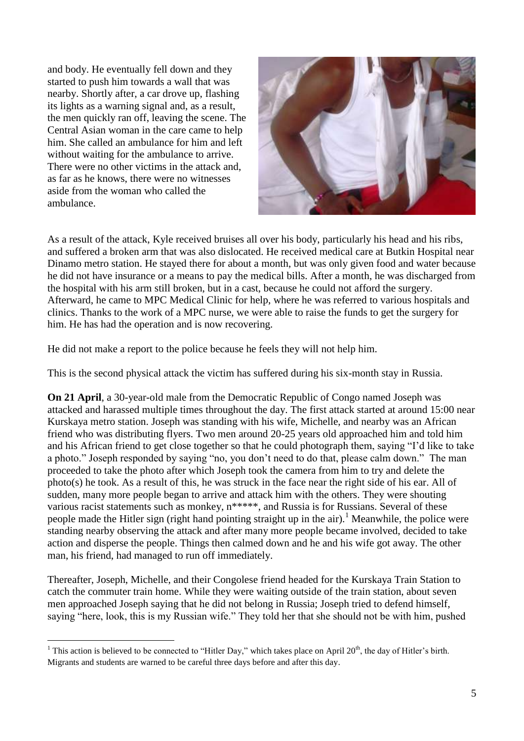and body. He eventually fell down and they started to push him towards a wall that was nearby. Shortly after, a car drove up, flashing its lights as a warning signal and, as a result, the men quickly ran off, leaving the scene. The Central Asian woman in the care came to help him. She called an ambulance for him and left without waiting for the ambulance to arrive. There were no other victims in the attack and, as far as he knows, there were no witnesses aside from the woman who called the ambulance.

<u>.</u>



As a result of the attack, Kyle received bruises all over his body, particularly his head and his ribs, and suffered a broken arm that was also dislocated. He received medical care at Butkin Hospital near Dinamo metro station. He stayed there for about a month, but was only given food and water because he did not have insurance or a means to pay the medical bills. After a month, he was discharged from the hospital with his arm still broken, but in a cast, because he could not afford the surgery. Afterward, he came to MPC Medical Clinic for help, where he was referred to various hospitals and clinics. Thanks to the work of a MPC nurse, we were able to raise the funds to get the surgery for him. He has had the operation and is now recovering.

He did not make a report to the police because he feels they will not help him.

This is the second physical attack the victim has suffered during his six-month stay in Russia.

**On 21 April**, a 30-year-old male from the Democratic Republic of Congo named Joseph was attacked and harassed multiple times throughout the day. The first attack started at around 15:00 near Kurskaya metro station. Joseph was standing with his wife, Michelle, and nearby was an African friend who was distributing flyers. Two men around 20-25 years old approached him and told him and his African friend to get close together so that he could photograph them, saying "I'd like to take a photo." Joseph responded by saying "no, you don't need to do that, please calm down." The man proceeded to take the photo after which Joseph took the camera from him to try and delete the photo(s) he took. As a result of this, he was struck in the face near the right side of his ear. All of sudden, many more people began to arrive and attack him with the others. They were shouting various racist statements such as monkey,  $n^{****}$ , and Russia is for Russians. Several of these people made the Hitler sign (right hand pointing straight up in the air).<sup>1</sup> Meanwhile, the police were standing nearby observing the attack and after many more people became involved, decided to take action and disperse the people. Things then calmed down and he and his wife got away. The other man, his friend, had managed to run off immediately.

Thereafter, Joseph, Michelle, and their Congolese friend headed for the Kurskaya Train Station to catch the commuter train home. While they were waiting outside of the train station, about seven men approached Joseph saying that he did not belong in Russia; Joseph tried to defend himself, saying "here, look, this is my Russian wife." They told her that she should not be with him, pushed

<sup>&</sup>lt;sup>1</sup> This action is believed to be connected to "Hitler Day," which takes place on April  $20<sup>th</sup>$ , the day of Hitler's birth. Migrants and students are warned to be careful three days before and after this day.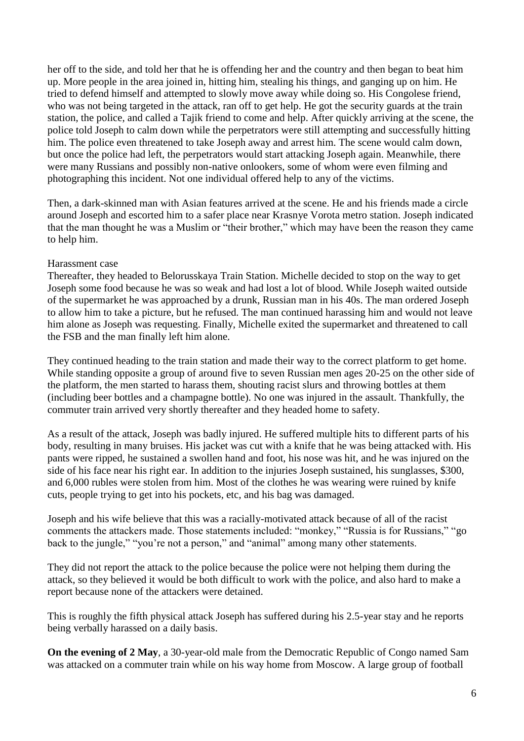her off to the side, and told her that he is offending her and the country and then began to beat him up. More people in the area joined in, hitting him, stealing his things, and ganging up on him. He tried to defend himself and attempted to slowly move away while doing so. His Congolese friend, who was not being targeted in the attack, ran off to get help. He got the security guards at the train station, the police, and called a Tajik friend to come and help. After quickly arriving at the scene, the police told Joseph to calm down while the perpetrators were still attempting and successfully hitting him. The police even threatened to take Joseph away and arrest him. The scene would calm down, but once the police had left, the perpetrators would start attacking Joseph again. Meanwhile, there were many Russians and possibly non-native onlookers, some of whom were even filming and photographing this incident. Not one individual offered help to any of the victims.

Then, a dark-skinned man with Asian features arrived at the scene. He and his friends made a circle around Joseph and escorted him to a safer place near Krasnye Vorota metro station. Joseph indicated that the man thought he was a Muslim or "their brother," which may have been the reason they came to help him.

#### Harassment case

Thereafter, they headed to Belorusskaya Train Station. Michelle decided to stop on the way to get Joseph some food because he was so weak and had lost a lot of blood. While Joseph waited outside of the supermarket he was approached by a drunk, Russian man in his 40s. The man ordered Joseph to allow him to take a picture, but he refused. The man continued harassing him and would not leave him alone as Joseph was requesting. Finally, Michelle exited the supermarket and threatened to call the FSB and the man finally left him alone.

They continued heading to the train station and made their way to the correct platform to get home. While standing opposite a group of around five to seven Russian men ages 20-25 on the other side of the platform, the men started to harass them, shouting racist slurs and throwing bottles at them (including beer bottles and a champagne bottle). No one was injured in the assault. Thankfully, the commuter train arrived very shortly thereafter and they headed home to safety.

As a result of the attack, Joseph was badly injured. He suffered multiple hits to different parts of his body, resulting in many bruises. His jacket was cut with a knife that he was being attacked with. His pants were ripped, he sustained a swollen hand and foot, his nose was hit, and he was injured on the side of his face near his right ear. In addition to the injuries Joseph sustained, his sunglasses, \$300, and 6,000 rubles were stolen from him. Most of the clothes he was wearing were ruined by knife cuts, people trying to get into his pockets, etc, and his bag was damaged.

Joseph and his wife believe that this was a racially-motivated attack because of all of the racist comments the attackers made. Those statements included: "monkey," "Russia is for Russians," "go back to the jungle," "you're not a person," and "animal" among many other statements.

They did not report the attack to the police because the police were not helping them during the attack, so they believed it would be both difficult to work with the police, and also hard to make a report because none of the attackers were detained.

This is roughly the fifth physical attack Joseph has suffered during his 2.5-year stay and he reports being verbally harassed on a daily basis.

**On the evening of 2 May**, a 30-year-old male from the Democratic Republic of Congo named Sam was attacked on a commuter train while on his way home from Moscow. A large group of football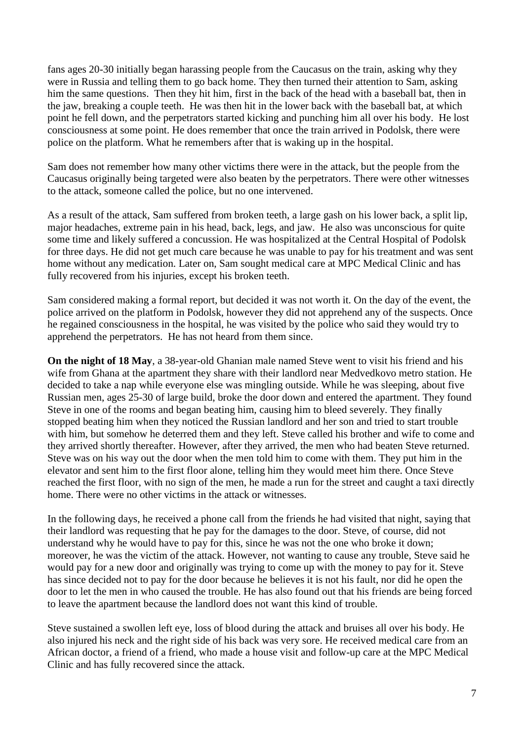fans ages 20-30 initially began harassing people from the Caucasus on the train, asking why they were in Russia and telling them to go back home. They then turned their attention to Sam, asking him the same questions. Then they hit him, first in the back of the head with a baseball bat, then in the jaw, breaking a couple teeth. He was then hit in the lower back with the baseball bat, at which point he fell down, and the perpetrators started kicking and punching him all over his body. He lost consciousness at some point. He does remember that once the train arrived in Podolsk, there were police on the platform. What he remembers after that is waking up in the hospital.

Sam does not remember how many other victims there were in the attack, but the people from the Caucasus originally being targeted were also beaten by the perpetrators. There were other witnesses to the attack, someone called the police, but no one intervened.

As a result of the attack, Sam suffered from broken teeth, a large gash on his lower back, a split lip, major headaches, extreme pain in his head, back, legs, and jaw. He also was unconscious for quite some time and likely suffered a concussion. He was hospitalized at the Central Hospital of Podolsk for three days. He did not get much care because he was unable to pay for his treatment and was sent home without any medication. Later on, Sam sought medical care at MPC Medical Clinic and has fully recovered from his injuries, except his broken teeth.

Sam considered making a formal report, but decided it was not worth it. On the day of the event, the police arrived on the platform in Podolsk, however they did not apprehend any of the suspects. Once he regained consciousness in the hospital, he was visited by the police who said they would try to apprehend the perpetrators. He has not heard from them since.

**On the night of 18 May**, a 38-year-old Ghanian male named Steve went to visit his friend and his wife from Ghana at the apartment they share with their landlord near Medvedkovo metro station. He decided to take a nap while everyone else was mingling outside. While he was sleeping, about five Russian men, ages 25-30 of large build, broke the door down and entered the apartment. They found Steve in one of the rooms and began beating him, causing him to bleed severely. They finally stopped beating him when they noticed the Russian landlord and her son and tried to start trouble with him, but somehow he deterred them and they left. Steve called his brother and wife to come and they arrived shortly thereafter. However, after they arrived, the men who had beaten Steve returned. Steve was on his way out the door when the men told him to come with them. They put him in the elevator and sent him to the first floor alone, telling him they would meet him there. Once Steve reached the first floor, with no sign of the men, he made a run for the street and caught a taxi directly home. There were no other victims in the attack or witnesses.

In the following days, he received a phone call from the friends he had visited that night, saying that their landlord was requesting that he pay for the damages to the door. Steve, of course, did not understand why he would have to pay for this, since he was not the one who broke it down; moreover, he was the victim of the attack. However, not wanting to cause any trouble, Steve said he would pay for a new door and originally was trying to come up with the money to pay for it. Steve has since decided not to pay for the door because he believes it is not his fault, nor did he open the door to let the men in who caused the trouble. He has also found out that his friends are being forced to leave the apartment because the landlord does not want this kind of trouble.

Steve sustained a swollen left eye, loss of blood during the attack and bruises all over his body. He also injured his neck and the right side of his back was very sore. He received medical care from an African doctor, a friend of a friend, who made a house visit and follow-up care at the MPC Medical Clinic and has fully recovered since the attack.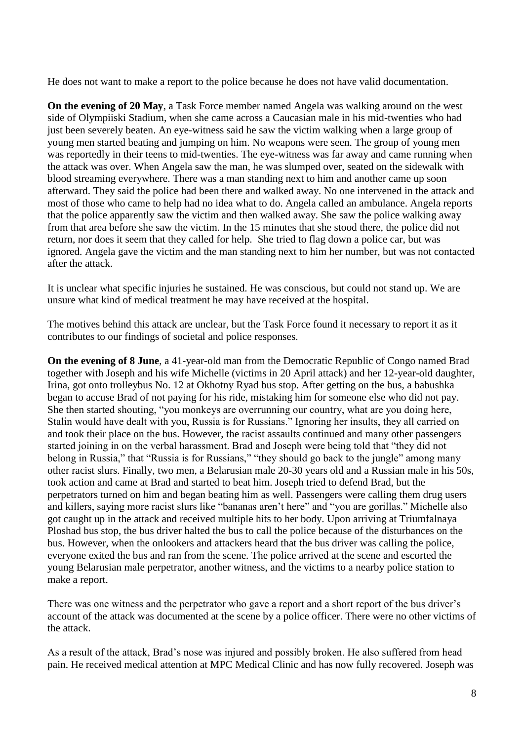He does not want to make a report to the police because he does not have valid documentation.

**On the evening of 20 May**, a Task Force member named Angela was walking around on the west side of Olympiiski Stadium, when she came across a Caucasian male in his mid-twenties who had just been severely beaten. An eye-witness said he saw the victim walking when a large group of young men started beating and jumping on him. No weapons were seen. The group of young men was reportedly in their teens to mid-twenties. The eye-witness was far away and came running when the attack was over. When Angela saw the man, he was slumped over, seated on the sidewalk with blood streaming everywhere. There was a man standing next to him and another came up soon afterward. They said the police had been there and walked away. No one intervened in the attack and most of those who came to help had no idea what to do. Angela called an ambulance. Angela reports that the police apparently saw the victim and then walked away. She saw the police walking away from that area before she saw the victim. In the 15 minutes that she stood there, the police did not return, nor does it seem that they called for help. She tried to flag down a police car, but was ignored. Angela gave the victim and the man standing next to him her number, but was not contacted after the attack.

It is unclear what specific injuries he sustained. He was conscious, but could not stand up. We are unsure what kind of medical treatment he may have received at the hospital.

The motives behind this attack are unclear, but the Task Force found it necessary to report it as it contributes to our findings of societal and police responses.

**On the evening of 8 June**, a 41-year-old man from the Democratic Republic of Congo named Brad together with Joseph and his wife Michelle (victims in 20 April attack) and her 12-year-old daughter, Irina, got onto trolleybus No. 12 at Okhotny Ryad bus stop. After getting on the bus, a babushka began to accuse Brad of not paying for his ride, mistaking him for someone else who did not pay. She then started shouting, "you monkeys are overrunning our country, what are you doing here, Stalin would have dealt with you, Russia is for Russians." Ignoring her insults, they all carried on and took their place on the bus. However, the racist assaults continued and many other passengers started joining in on the verbal harassment. Brad and Joseph were being told that "they did not belong in Russia," that "Russia is for Russians," "they should go back to the jungle" among many other racist slurs. Finally, two men, a Belarusian male 20-30 years old and a Russian male in his 50s, took action and came at Brad and started to beat him. Joseph tried to defend Brad, but the perpetrators turned on him and began beating him as well. Passengers were calling them drug users and killers, saying more racist slurs like "bananas aren't here" and "you are gorillas." Michelle also got caught up in the attack and received multiple hits to her body. Upon arriving at Triumfalnaya Ploshad bus stop, the bus driver halted the bus to call the police because of the disturbances on the bus. However, when the onlookers and attackers heard that the bus driver was calling the police, everyone exited the bus and ran from the scene. The police arrived at the scene and escorted the young Belarusian male perpetrator, another witness, and the victims to a nearby police station to make a report.

There was one witness and the perpetrator who gave a report and a short report of the bus driver's account of the attack was documented at the scene by a police officer. There were no other victims of the attack.

As a result of the attack, Brad's nose was injured and possibly broken. He also suffered from head pain. He received medical attention at MPC Medical Clinic and has now fully recovered. Joseph was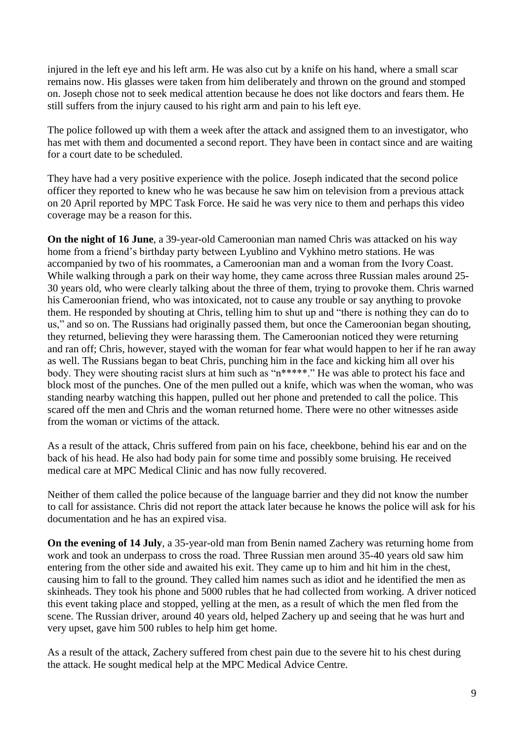injured in the left eye and his left arm. He was also cut by a knife on his hand, where a small scar remains now. His glasses were taken from him deliberately and thrown on the ground and stomped on. Joseph chose not to seek medical attention because he does not like doctors and fears them. He still suffers from the injury caused to his right arm and pain to his left eye.

The police followed up with them a week after the attack and assigned them to an investigator, who has met with them and documented a second report. They have been in contact since and are waiting for a court date to be scheduled.

They have had a very positive experience with the police. Joseph indicated that the second police officer they reported to knew who he was because he saw him on television from a previous attack on 20 April reported by MPC Task Force. He said he was very nice to them and perhaps this video coverage may be a reason for this.

**On the night of 16 June**, a 39-year-old Cameroonian man named Chris was attacked on his way home from a friend's birthday party between Lyublino and Vykhino metro stations. He was accompanied by two of his roommates, a Cameroonian man and a woman from the Ivory Coast. While walking through a park on their way home, they came across three Russian males around 25-30 years old, who were clearly talking about the three of them, trying to provoke them. Chris warned his Cameroonian friend, who was intoxicated, not to cause any trouble or say anything to provoke them. He responded by shouting at Chris, telling him to shut up and "there is nothing they can do to us," and so on. The Russians had originally passed them, but once the Cameroonian began shouting, they returned, believing they were harassing them. The Cameroonian noticed they were returning and ran off; Chris, however, stayed with the woman for fear what would happen to her if he ran away as well. The Russians began to beat Chris, punching him in the face and kicking him all over his body. They were shouting racist slurs at him such as "n\*\*\*\*\*." He was able to protect his face and block most of the punches. One of the men pulled out a knife, which was when the woman, who was standing nearby watching this happen, pulled out her phone and pretended to call the police. This scared off the men and Chris and the woman returned home. There were no other witnesses aside from the woman or victims of the attack.

As a result of the attack, Chris suffered from pain on his face, cheekbone, behind his ear and on the back of his head. He also had body pain for some time and possibly some bruising. He received medical care at MPC Medical Clinic and has now fully recovered.

Neither of them called the police because of the language barrier and they did not know the number to call for assistance. Chris did not report the attack later because he knows the police will ask for his documentation and he has an expired visa.

**On the evening of 14 July**, a 35-year-old man from Benin named Zachery was returning home from work and took an underpass to cross the road. Three Russian men around 35-40 years old saw him entering from the other side and awaited his exit. They came up to him and hit him in the chest, causing him to fall to the ground. They called him names such as idiot and he identified the men as skinheads. They took his phone and 5000 rubles that he had collected from working. A driver noticed this event taking place and stopped, yelling at the men, as a result of which the men fled from the scene. The Russian driver, around 40 years old, helped Zachery up and seeing that he was hurt and very upset, gave him 500 rubles to help him get home.

As a result of the attack, Zachery suffered from chest pain due to the severe hit to his chest during the attack. He sought medical help at the MPC Medical Advice Centre.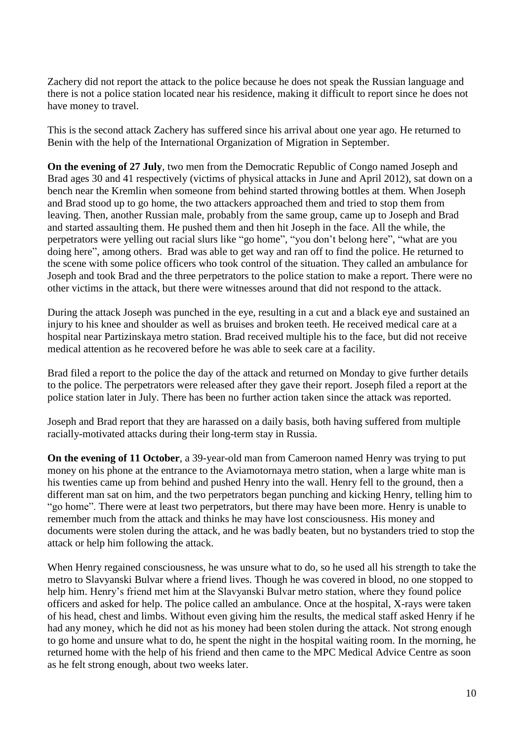Zachery did not report the attack to the police because he does not speak the Russian language and there is not a police station located near his residence, making it difficult to report since he does not have money to travel.

This is the second attack Zachery has suffered since his arrival about one year ago. He returned to Benin with the help of the International Organization of Migration in September.

**On the evening of 27 July**, two men from the Democratic Republic of Congo named Joseph and Brad ages 30 and 41 respectively (victims of physical attacks in June and April 2012), sat down on a bench near the Kremlin when someone from behind started throwing bottles at them. When Joseph and Brad stood up to go home, the two attackers approached them and tried to stop them from leaving. Then, another Russian male, probably from the same group, came up to Joseph and Brad and started assaulting them. He pushed them and then hit Joseph in the face. All the while, the perpetrators were yelling out racial slurs like "go home", "you don't belong here", "what are you doing here", among others. Brad was able to get way and ran off to find the police. He returned to the scene with some police officers who took control of the situation. They called an ambulance for Joseph and took Brad and the three perpetrators to the police station to make a report. There were no other victims in the attack, but there were witnesses around that did not respond to the attack.

During the attack Joseph was punched in the eye, resulting in a cut and a black eye and sustained an injury to his knee and shoulder as well as bruises and broken teeth. He received medical care at a hospital near Partizinskaya metro station. Brad received multiple his to the face, but did not receive medical attention as he recovered before he was able to seek care at a facility.

Brad filed a report to the police the day of the attack and returned on Monday to give further details to the police. The perpetrators were released after they gave their report. Joseph filed a report at the police station later in July. There has been no further action taken since the attack was reported.

Joseph and Brad report that they are harassed on a daily basis, both having suffered from multiple racially-motivated attacks during their long-term stay in Russia.

**On the evening of 11 October**, a 39-year-old man from Cameroon named Henry was trying to put money on his phone at the entrance to the Aviamotornaya metro station, when a large white man is his twenties came up from behind and pushed Henry into the wall. Henry fell to the ground, then a different man sat on him, and the two perpetrators began punching and kicking Henry, telling him to "go home". There were at least two perpetrators, but there may have been more. Henry is unable to remember much from the attack and thinks he may have lost consciousness. His money and documents were stolen during the attack, and he was badly beaten, but no bystanders tried to stop the attack or help him following the attack.

When Henry regained consciousness, he was unsure what to do, so he used all his strength to take the metro to Slavyanski Bulvar where a friend lives. Though he was covered in blood, no one stopped to help him. Henry's friend met him at the Slavyanski Bulvar metro station, where they found police officers and asked for help. The police called an ambulance. Once at the hospital, X-rays were taken of his head, chest and limbs. Without even giving him the results, the medical staff asked Henry if he had any money, which he did not as his money had been stolen during the attack. Not strong enough to go home and unsure what to do, he spent the night in the hospital waiting room. In the morning, he returned home with the help of his friend and then came to the MPC Medical Advice Centre as soon as he felt strong enough, about two weeks later.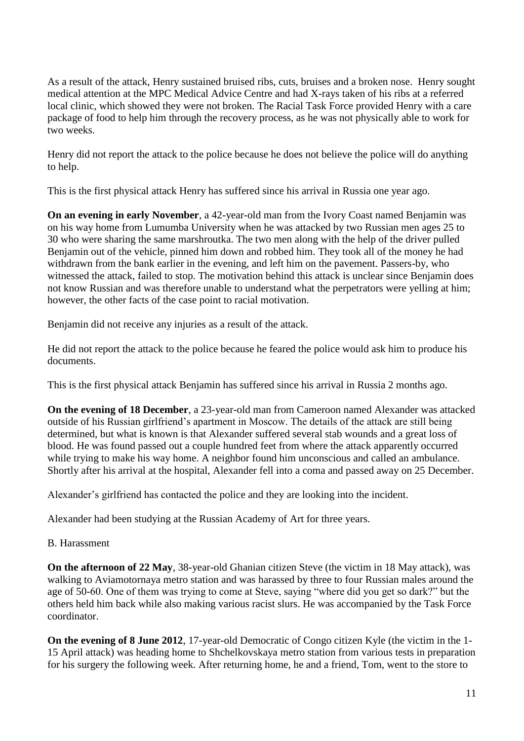As a result of the attack, Henry sustained bruised ribs, cuts, bruises and a broken nose. Henry sought medical attention at the MPC Medical Advice Centre and had X-rays taken of his ribs at a referred local clinic, which showed they were not broken. The Racial Task Force provided Henry with a care package of food to help him through the recovery process, as he was not physically able to work for two weeks.

Henry did not report the attack to the police because he does not believe the police will do anything to help.

This is the first physical attack Henry has suffered since his arrival in Russia one year ago.

**On an evening in early November**, a 42-year-old man from the Ivory Coast named Benjamin was on his way home from Lumumba University when he was attacked by two Russian men ages 25 to 30 who were sharing the same marshroutka. The two men along with the help of the driver pulled Benjamin out of the vehicle, pinned him down and robbed him. They took all of the money he had withdrawn from the bank earlier in the evening, and left him on the pavement. Passers-by, who witnessed the attack, failed to stop. The motivation behind this attack is unclear since Benjamin does not know Russian and was therefore unable to understand what the perpetrators were yelling at him; however, the other facts of the case point to racial motivation.

Benjamin did not receive any injuries as a result of the attack.

He did not report the attack to the police because he feared the police would ask him to produce his documents.

This is the first physical attack Benjamin has suffered since his arrival in Russia 2 months ago.

**On the evening of 18 December**, a 23-year-old man from Cameroon named Alexander was attacked outside of his Russian girlfriend's apartment in Moscow. The details of the attack are still being determined, but what is known is that Alexander suffered several stab wounds and a great loss of blood. He was found passed out a couple hundred feet from where the attack apparently occurred while trying to make his way home. A neighbor found him unconscious and called an ambulance. Shortly after his arrival at the hospital, Alexander fell into a coma and passed away on 25 December.

Alexander's girlfriend has contacted the police and they are looking into the incident.

Alexander had been studying at the Russian Academy of Art for three years.

B. Harassment

**On the afternoon of 22 May**, 38-year-old Ghanian citizen Steve (the victim in 18 May attack), was walking to Aviamotornaya metro station and was harassed by three to four Russian males around the age of 50-60. One of them was trying to come at Steve, saying "where did you get so dark?" but the others held him back while also making various racist slurs. He was accompanied by the Task Force coordinator.

**On the evening of 8 June 2012**, 17-year-old Democratic of Congo citizen Kyle (the victim in the 1- 15 April attack) was heading home to Shchelkovskaya metro station from various tests in preparation for his surgery the following week. After returning home, he and a friend, Tom, went to the store to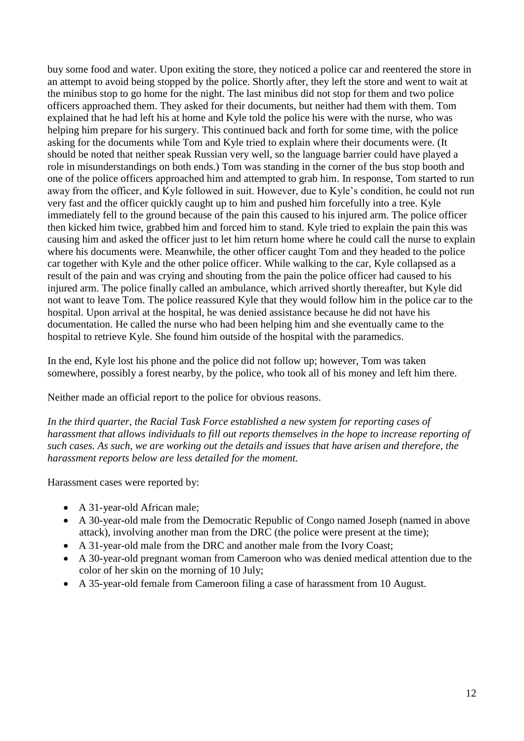buy some food and water. Upon exiting the store, they noticed a police car and reentered the store in an attempt to avoid being stopped by the police. Shortly after, they left the store and went to wait at the minibus stop to go home for the night. The last minibus did not stop for them and two police officers approached them. They asked for their documents, but neither had them with them. Tom explained that he had left his at home and Kyle told the police his were with the nurse, who was helping him prepare for his surgery. This continued back and forth for some time, with the police asking for the documents while Tom and Kyle tried to explain where their documents were. (It should be noted that neither speak Russian very well, so the language barrier could have played a role in misunderstandings on both ends.) Tom was standing in the corner of the bus stop booth and one of the police officers approached him and attempted to grab him. In response, Tom started to run away from the officer, and Kyle followed in suit. However, due to Kyle's condition, he could not run very fast and the officer quickly caught up to him and pushed him forcefully into a tree. Kyle immediately fell to the ground because of the pain this caused to his injured arm. The police officer then kicked him twice, grabbed him and forced him to stand. Kyle tried to explain the pain this was causing him and asked the officer just to let him return home where he could call the nurse to explain where his documents were. Meanwhile, the other officer caught Tom and they headed to the police car together with Kyle and the other police officer. While walking to the car, Kyle collapsed as a result of the pain and was crying and shouting from the pain the police officer had caused to his injured arm. The police finally called an ambulance, which arrived shortly thereafter, but Kyle did not want to leave Tom. The police reassured Kyle that they would follow him in the police car to the hospital. Upon arrival at the hospital, he was denied assistance because he did not have his documentation. He called the nurse who had been helping him and she eventually came to the hospital to retrieve Kyle. She found him outside of the hospital with the paramedics.

In the end, Kyle lost his phone and the police did not follow up; however, Tom was taken somewhere, possibly a forest nearby, by the police, who took all of his money and left him there.

Neither made an official report to the police for obvious reasons.

*In the third quarter, the Racial Task Force established a new system for reporting cases of harassment that allows individuals to fill out reports themselves in the hope to increase reporting of such cases. As such, we are working out the details and issues that have arisen and therefore, the harassment reports below are less detailed for the moment.*

Harassment cases were reported by:

- A 31-year-old African male:
- A 30-year-old male from the Democratic Republic of Congo named Joseph (named in above attack), involving another man from the DRC (the police were present at the time);
- A 31-year-old male from the DRC and another male from the Ivory Coast;
- A 30-year-old pregnant woman from Cameroon who was denied medical attention due to the color of her skin on the morning of 10 July;
- A 35-year-old female from Cameroon filing a case of harassment from 10 August.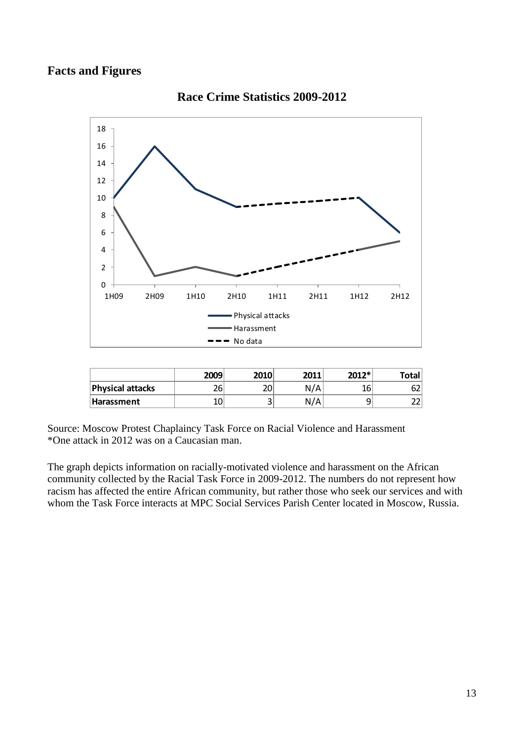#### **Facts and Figures**



#### **Race Crime Statistics 2009-2012**

|                  | 2009 | 2010   | 2011 | 2012* | Total |
|------------------|------|--------|------|-------|-------|
| Physical attacks | 26   | 20     | N/A  | 16    | bΖ    |
| Harassment       | ⊥∪   | ⌒<br>ر | N/A  | ے     | ີ     |

Source: Moscow Protest Chaplaincy Task Force on Racial Violence and Harassment \*One attack in 2012 was on a Caucasian man.

The graph depicts information on racially-motivated violence and harassment on the African community collected by the Racial Task Force in 2009-2012. The numbers do not represent how racism has affected the entire African community, but rather those who seek our services and with whom the Task Force interacts at MPC Social Services Parish Center located in Moscow, Russia.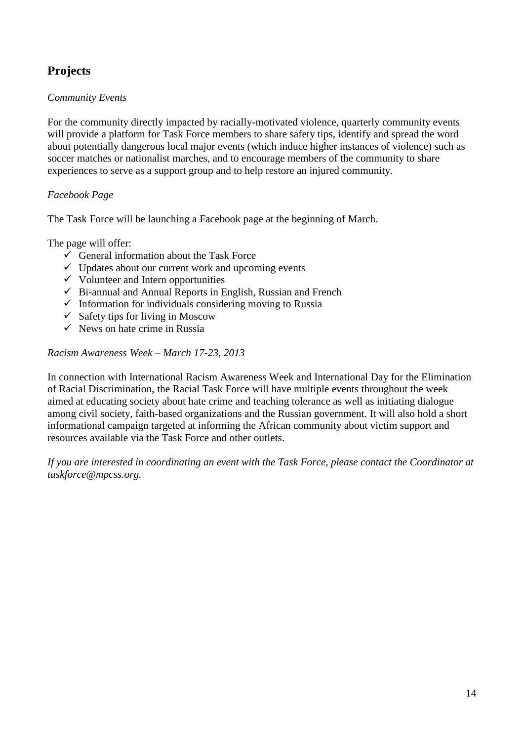## **Projects**

#### *Community Events*

For the community directly impacted by racially-motivated violence, quarterly community events will provide a platform for Task Force members to share safety tips, identify and spread the word about potentially dangerous local major events (which induce higher instances of violence) such as soccer matches or nationalist marches, and to encourage members of the community to share experiences to serve as a support group and to help restore an injured community.

#### *Facebook Page*

The Task Force will be launching a Facebook page at the beginning of March.

The page will offer:

- $\checkmark$  General information about the Task Force
- $\checkmark$  Updates about our current work and upcoming events
- $\checkmark$  Volunteer and Intern opportunities
- $\checkmark$  Bi-annual and Annual Reports in English, Russian and French
- $\checkmark$  Information for individuals considering moving to Russia
- $\checkmark$  Safety tips for living in Moscow
- $\checkmark$  News on hate crime in Russia

*Racism Awareness Week – March 17-23, 2013*

In connection with International Racism Awareness Week and International Day for the Elimination of Racial Discrimination, the Racial Task Force will have multiple events throughout the week aimed at educating society about hate crime and teaching tolerance as well as initiating dialogue among civil society, faith-based organizations and the Russian government. It will also hold a short informational campaign targeted at informing the African community about victim support and resources available via the Task Force and other outlets.

*If you are interested in coordinating an event with the Task Force, please contact the Coordinator at taskforce@mpcss.org.*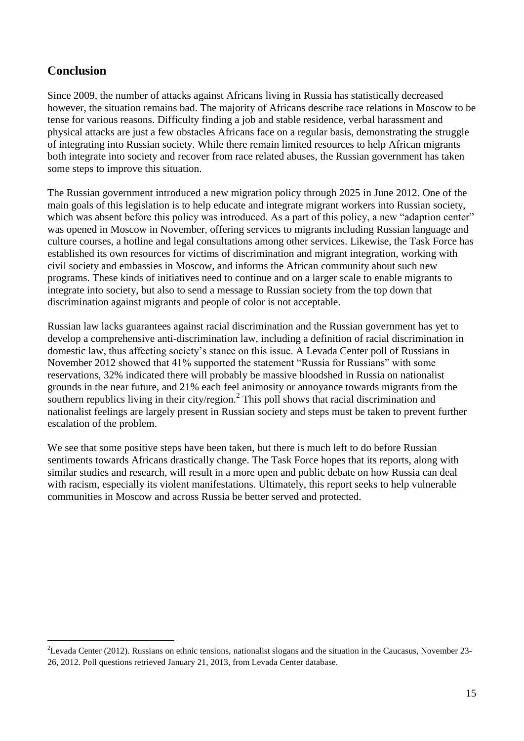## **Conclusion**

<u>.</u>

Since 2009, the number of attacks against Africans living in Russia has statistically decreased however, the situation remains bad. The majority of Africans describe race relations in Moscow to be tense for various reasons. Difficulty finding a job and stable residence, verbal harassment and physical attacks are just a few obstacles Africans face on a regular basis, demonstrating the struggle of integrating into Russian society. While there remain limited resources to help African migrants both integrate into society and recover from race related abuses, the Russian government has taken some steps to improve this situation.

The Russian government introduced a new migration policy through 2025 in June 2012. One of the main goals of this legislation is to help educate and integrate migrant workers into Russian society, which was absent before this policy was introduced. As a part of this policy, a new "adaption center" was opened in Moscow in November, offering services to migrants including Russian language and culture courses, a hotline and legal consultations among other services. Likewise, the Task Force has established its own resources for victims of discrimination and migrant integration, working with civil society and embassies in Moscow, and informs the African community about such new programs. These kinds of initiatives need to continue and on a larger scale to enable migrants to integrate into society, but also to send a message to Russian society from the top down that discrimination against migrants and people of color is not acceptable.

Russian law lacks guarantees against racial discrimination and the Russian government has yet to develop a comprehensive anti-discrimination law, including a definition of racial discrimination in domestic law, thus affecting society's stance on this issue. A Levada Center poll of Russians in November 2012 showed that 41% supported the statement "Russia for Russians" with some reservations, 32% indicated there will probably be massive bloodshed in Russia on nationalist grounds in the near future, and 21% each feel animosity or annoyance towards migrants from the southern republics living in their city/region.<sup>2</sup> This poll shows that racial discrimination and nationalist feelings are largely present in Russian society and steps must be taken to prevent further escalation of the problem.

We see that some positive steps have been taken, but there is much left to do before Russian sentiments towards Africans drastically change. The Task Force hopes that its reports, along with similar studies and research, will result in a more open and public debate on how Russia can deal with racism, especially its violent manifestations. Ultimately, this report seeks to help vulnerable communities in Moscow and across Russia be better served and protected.

<sup>&</sup>lt;sup>2</sup>Levada Center (2012). Russians on ethnic tensions, nationalist slogans and the situation in the Caucasus, November 23-26, 2012. Poll questions retrieved January 21, 2013, from Levada Center database.